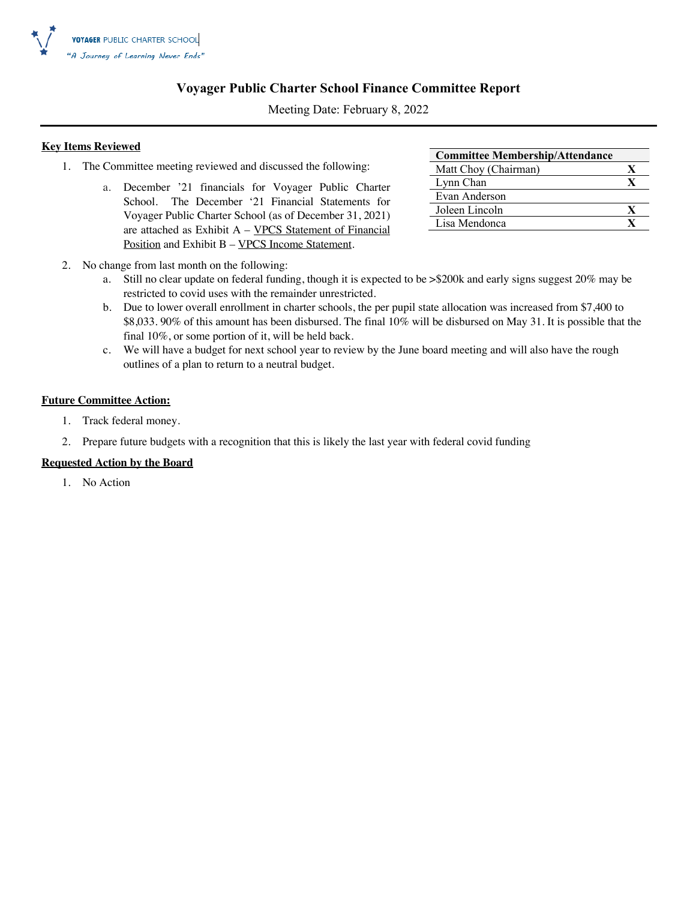

#### **Voyager Public Charter School Finance Committee Report**

Meeting Date: February 8, 2022

#### **Key Items Reviewed**

- 1. The Committee meeting reviewed and discussed the following:
	- a. December '21 financials for Voyager Public Charter School. The December '21 Financial Statements for Voyager Public Charter School (as of December 31, 2021) are attached as Exhibit A – VPCS Statement of Financial Position and Exhibit B - VPCS Income Statement.

| <b>Committee Membership/Attendance</b> |   |
|----------------------------------------|---|
| Matt Choy (Chairman)                   | X |
| Lynn Chan                              | X |
| Evan Anderson                          |   |
| Joleen Lincoln                         | X |
| Lisa Mendonca                          |   |
|                                        |   |

- 2. No change from last month on the following:
	- a. Still no clear update on federal funding, though it is expected to be >\$200k and early signs suggest 20% may be restricted to covid uses with the remainder unrestricted.
	- b. Due to lower overall enrollment in charter schools, the per pupil state allocation was increased from \$7,400 to \$8,033. 90% of this amount has been disbursed. The final 10% will be disbursed on May 31. It is possible that the final 10%, or some portion of it, will be held back.
	- c. We will have a budget for next school year to review by the June board meeting and will also have the rough outlines of a plan to return to a neutral budget.

#### **Future Committee Action:**

- 1. Track federal money.
- 2. Prepare future budgets with a recognition that this is likely the last year with federal covid funding

#### **Requested Action by the Board**

1. No Action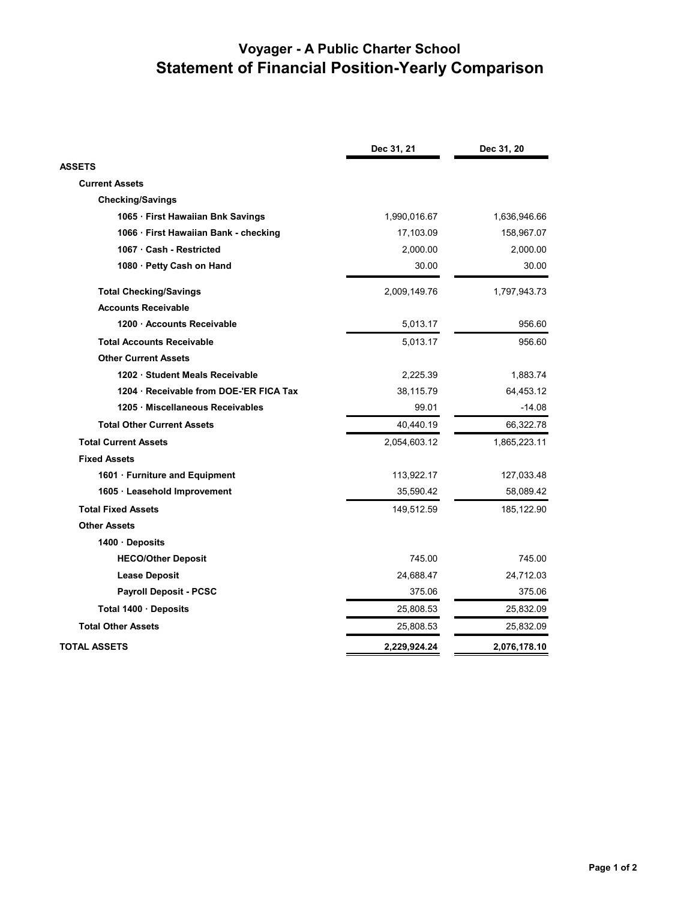# **Voyager - A Public Charter School Statement of Financial Position-Yearly Comparison**

|                                       | Dec 31, 21   | Dec 31, 20   |
|---------------------------------------|--------------|--------------|
| <b>ASSETS</b>                         |              |              |
| <b>Current Assets</b>                 |              |              |
| <b>Checking/Savings</b>               |              |              |
| 1065 · First Hawaiian Bnk Savings     | 1,990,016.67 | 1,636,946.66 |
| 1066 · First Hawaiian Bank - checking | 17,103.09    | 158,967.07   |
| 1067 · Cash - Restricted              | 2,000.00     | 2,000.00     |
| 1080 · Petty Cash on Hand             | 30.00        | 30.00        |
| <b>Total Checking/Savings</b>         | 2,009,149.76 | 1,797,943.73 |
| <b>Accounts Receivable</b>            |              |              |
| 1200 Accounts Receivable              | 5,013.17     | 956.60       |
| <b>Total Accounts Receivable</b>      | 5,013.17     | 956.60       |
| <b>Other Current Assets</b>           |              |              |
| 1202 Student Meals Receivable         | 2,225.39     | 1,883.74     |
| 1204 Receivable from DOE-'ER FICA Tax | 38,115.79    | 64,453.12    |
| 1205 Miscellaneous Receivables        | 99.01        | $-14.08$     |
| <b>Total Other Current Assets</b>     | 40,440.19    | 66,322.78    |
| <b>Total Current Assets</b>           | 2,054,603.12 | 1,865,223.11 |
| <b>Fixed Assets</b>                   |              |              |
| 1601 · Furniture and Equipment        | 113,922.17   | 127,033.48   |
| 1605 · Leasehold Improvement          | 35,590.42    | 58,089.42    |
| <b>Total Fixed Assets</b>             | 149,512.59   | 185, 122.90  |
| <b>Other Assets</b>                   |              |              |
| 1400 · Deposits                       |              |              |
| <b>HECO/Other Deposit</b>             | 745.00       | 745.00       |
| <b>Lease Deposit</b>                  | 24,688.47    | 24,712.03    |
| <b>Payroll Deposit - PCSC</b>         | 375.06       | 375.06       |
| Total 1400 · Deposits                 | 25,808.53    | 25,832.09    |
| <b>Total Other Assets</b>             | 25,808.53    | 25,832.09    |
| <b>TOTAL ASSETS</b>                   | 2,229,924.24 | 2,076,178.10 |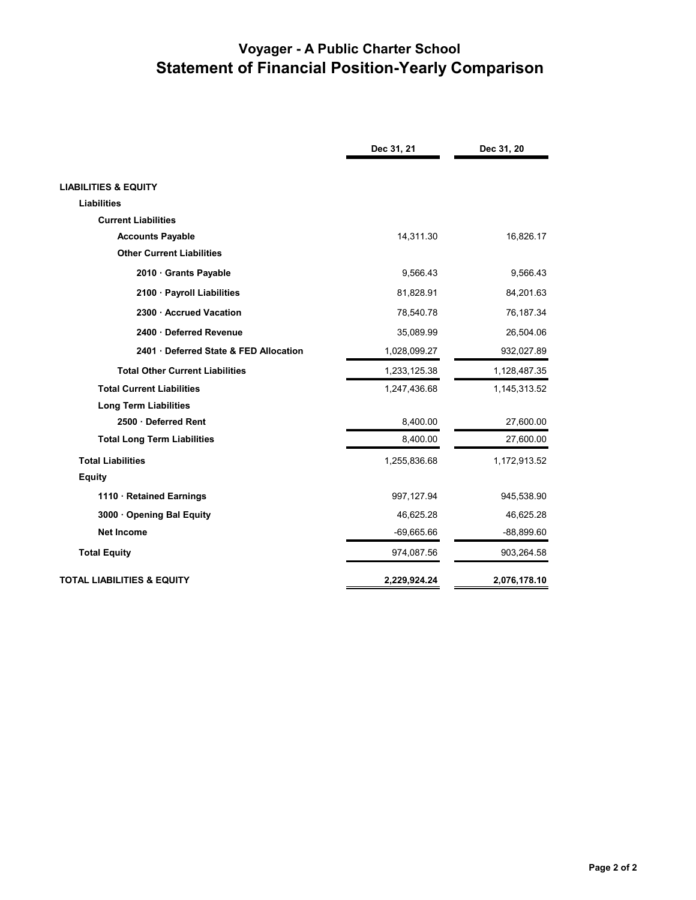# **Voyager - A Public Charter School Statement of Financial Position-Yearly Comparison**

|                                        | Dec 31, 21   | Dec 31, 20   |
|----------------------------------------|--------------|--------------|
|                                        |              |              |
| <b>LIABILITIES &amp; EQUITY</b>        |              |              |
| <b>Liabilities</b>                     |              |              |
| <b>Current Liabilities</b>             |              |              |
| <b>Accounts Payable</b>                | 14,311.30    | 16,826.17    |
| <b>Other Current Liabilities</b>       |              |              |
| 2010 Grants Payable                    | 9.566.43     | 9,566.43     |
| 2100 · Payroll Liabilities             | 81,828.91    | 84,201.63    |
| 2300 · Accrued Vacation                | 78,540.78    | 76,187.34    |
| 2400 Deferred Revenue                  | 35,089.99    | 26,504.06    |
| 2401 Deferred State & FED Allocation   | 1,028,099.27 | 932,027.89   |
| <b>Total Other Current Liabilities</b> | 1,233,125.38 | 1,128,487.35 |
| <b>Total Current Liabilities</b>       | 1,247,436.68 | 1,145,313.52 |
| <b>Long Term Liabilities</b>           |              |              |
| 2500 Deferred Rent                     | 8,400.00     | 27,600.00    |
| <b>Total Long Term Liabilities</b>     | 8,400.00     | 27,600.00    |
| <b>Total Liabilities</b>               | 1,255,836.68 | 1,172,913.52 |
| <b>Equity</b>                          |              |              |
| 1110 · Retained Earnings               | 997,127.94   | 945,538.90   |
| 3000 Opening Bal Equity                | 46,625.28    | 46,625.28    |
| <b>Net Income</b>                      | $-69,665.66$ | $-88,899.60$ |
| <b>Total Equity</b>                    | 974,087.56   | 903,264.58   |
| <b>TOTAL LIABILITIES &amp; EQUITY</b>  | 2,229,924.24 | 2,076,178.10 |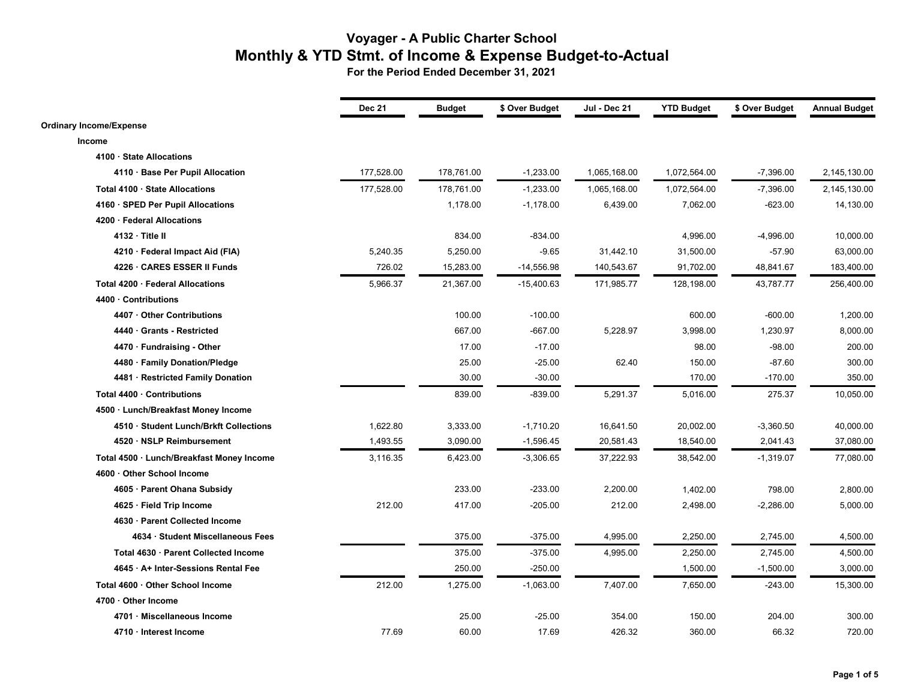|                                           | <b>Dec 21</b> | <b>Budget</b> | \$ Over Budget | Jul - Dec 21 | <b>YTD Budget</b> | \$ Over Budget | <b>Annual Budget</b> |
|-------------------------------------------|---------------|---------------|----------------|--------------|-------------------|----------------|----------------------|
| <b>Ordinary Income/Expense</b>            |               |               |                |              |                   |                |                      |
| Income                                    |               |               |                |              |                   |                |                      |
| 4100 · State Allocations                  |               |               |                |              |                   |                |                      |
| 4110 · Base Per Pupil Allocation          | 177,528.00    | 178,761.00    | $-1,233.00$    | 1,065,168.00 | 1,072,564.00      | $-7,396.00$    | 2,145,130.00         |
| Total 4100 · State Allocations            | 177,528.00    | 178,761.00    | $-1,233.00$    | 1,065,168.00 | 1,072,564.00      | $-7,396.00$    | 2,145,130.00         |
| 4160 · SPED Per Pupil Allocations         |               | 1,178.00      | $-1,178.00$    | 6,439.00     | 7,062.00          | $-623.00$      | 14,130.00            |
| 4200 · Federal Allocations                |               |               |                |              |                   |                |                      |
| 4132 · Title II                           |               | 834.00        | $-834.00$      |              | 4,996.00          | -4,996.00      | 10,000.00            |
| 4210 · Federal Impact Aid (FIA)           | 5,240.35      | 5,250.00      | $-9.65$        | 31,442.10    | 31,500.00         | $-57.90$       | 63,000.00            |
| 4226 · CARES ESSER II Funds               | 726.02        | 15,283.00     | $-14,556.98$   | 140,543.67   | 91,702.00         | 48,841.67      | 183,400.00           |
| Total 4200 · Federal Allocations          | 5,966.37      | 21,367.00     | $-15,400.63$   | 171,985.77   | 128,198.00        | 43,787.77      | 256,400.00           |
| 4400 · Contributions                      |               |               |                |              |                   |                |                      |
| 4407 Other Contributions                  |               | 100.00        | $-100.00$      |              | 600.00            | $-600.00$      | 1,200.00             |
| 4440 Grants - Restricted                  |               | 667.00        | $-667.00$      | 5,228.97     | 3,998.00          | 1,230.97       | 8,000.00             |
| 4470 · Fundraising - Other                |               | 17.00         | $-17.00$       |              | 98.00             | $-98.00$       | 200.00               |
| 4480 · Family Donation/Pledge             |               | 25.00         | $-25.00$       | 62.40        | 150.00            | $-87.60$       | 300.00               |
| 4481 · Restricted Family Donation         |               | 30.00         | $-30.00$       |              | 170.00            | $-170.00$      | 350.00               |
| Total 4400 · Contributions                |               | 839.00        | $-839.00$      | 5,291.37     | 5,016.00          | 275.37         | 10,050.00            |
| 4500 · Lunch/Breakfast Money Income       |               |               |                |              |                   |                |                      |
| 4510 · Student Lunch/Brkft Collections    | 1,622.80      | 3,333.00      | $-1,710.20$    | 16,641.50    | 20,002.00         | $-3,360.50$    | 40,000.00            |
| 4520 · NSLP Reimbursement                 | 1,493.55      | 3,090.00      | $-1,596.45$    | 20,581.43    | 18,540.00         | 2,041.43       | 37,080.00            |
| Total 4500 · Lunch/Breakfast Money Income | 3,116.35      | 6,423.00      | $-3,306.65$    | 37,222.93    | 38,542.00         | $-1,319.07$    | 77,080.00            |
| 4600 · Other School Income                |               |               |                |              |                   |                |                      |
| 4605 · Parent Ohana Subsidy               |               | 233.00        | $-233.00$      | 2,200.00     | 1,402.00          | 798.00         | 2,800.00             |
| 4625 · Field Trip Income                  | 212.00        | 417.00        | $-205.00$      | 212.00       | 2,498.00          | $-2,286.00$    | 5,000.00             |
| 4630 · Parent Collected Income            |               |               |                |              |                   |                |                      |
| 4634 · Student Miscellaneous Fees         |               | 375.00        | $-375.00$      | 4,995.00     | 2,250.00          | 2,745.00       | 4,500.00             |
| Total 4630 · Parent Collected Income      |               | 375.00        | $-375.00$      | 4,995.00     | 2,250.00          | 2,745.00       | 4,500.00             |
| 4645 · A+ Inter-Sessions Rental Fee       |               | 250.00        | $-250.00$      |              | 1,500.00          | $-1,500.00$    | 3,000.00             |
| Total 4600 · Other School Income          | 212.00        | 1,275.00      | $-1,063.00$    | 7,407.00     | 7,650.00          | $-243.00$      | 15,300.00            |
| 4700 · Other Income                       |               |               |                |              |                   |                |                      |
| 4701 · Miscellaneous Income               |               | 25.00         | $-25.00$       | 354.00       | 150.00            | 204.00         | 300.00               |
| 4710 · Interest Income                    | 77.69         | 60.00         | 17.69          | 426.32       | 360.00            | 66.32          | 720.00               |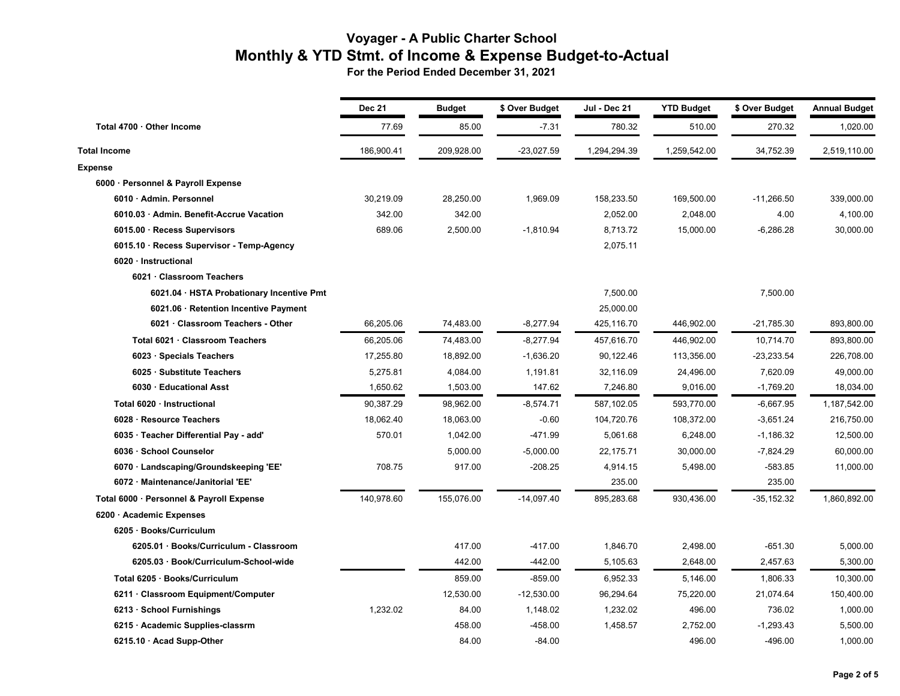|                                           | <b>Dec 21</b> | <b>Budget</b> | \$ Over Budget | Jul - Dec 21 | <b>YTD Budget</b> | \$ Over Budget | <b>Annual Budget</b> |
|-------------------------------------------|---------------|---------------|----------------|--------------|-------------------|----------------|----------------------|
| Total 4700 · Other Income                 | 77.69         | 85.00         | $-7.31$        | 780.32       | 510.00            | 270.32         | 1,020.00             |
| <b>Total Income</b>                       | 186,900.41    | 209,928.00    | $-23,027.59$   | 1,294,294.39 | 1,259,542.00      | 34,752.39      | 2,519,110.00         |
| <b>Expense</b>                            |               |               |                |              |                   |                |                      |
| 6000 · Personnel & Payroll Expense        |               |               |                |              |                   |                |                      |
| 6010 · Admin. Personnel                   | 30,219.09     | 28,250.00     | 1,969.09       | 158,233.50   | 169,500.00        | $-11,266.50$   | 339,000.00           |
| 6010.03 · Admin. Benefit-Accrue Vacation  | 342.00        | 342.00        |                | 2,052.00     | 2,048.00          | 4.00           | 4,100.00             |
| 6015.00 · Recess Supervisors              | 689.06        | 2,500.00      | $-1,810.94$    | 8,713.72     | 15,000.00         | $-6,286.28$    | 30,000.00            |
| 6015.10 · Recess Supervisor - Temp-Agency |               |               |                | 2,075.11     |                   |                |                      |
| 6020 · Instructional                      |               |               |                |              |                   |                |                      |
| 6021 · Classroom Teachers                 |               |               |                |              |                   |                |                      |
| 6021.04 · HSTA Probationary Incentive Pmt |               |               |                | 7,500.00     |                   | 7,500.00       |                      |
| 6021.06 · Retention Incentive Payment     |               |               |                | 25,000.00    |                   |                |                      |
| 6021 · Classroom Teachers - Other         | 66,205.06     | 74,483.00     | $-8,277.94$    | 425,116.70   | 446,902.00        | $-21,785.30$   | 893,800.00           |
| Total 6021 · Classroom Teachers           | 66,205.06     | 74,483.00     | $-8,277.94$    | 457,616.70   | 446,902.00        | 10,714.70      | 893,800.00           |
| 6023 · Specials Teachers                  | 17,255.80     | 18,892.00     | $-1,636.20$    | 90,122.46    | 113,356.00        | $-23,233.54$   | 226,708.00           |
| 6025 · Substitute Teachers                | 5,275.81      | 4,084.00      | 1,191.81       | 32,116.09    | 24,496.00         | 7,620.09       | 49,000.00            |
| 6030 · Educational Asst                   | 1,650.62      | 1,503.00      | 147.62         | 7,246.80     | 9,016.00          | $-1,769.20$    | 18,034.00            |
| Total 6020 · Instructional                | 90,387.29     | 98,962.00     | $-8,574.71$    | 587,102.05   | 593,770.00        | $-6,667.95$    | 1,187,542.00         |
| 6028 · Resource Teachers                  | 18,062.40     | 18,063.00     | $-0.60$        | 104,720.76   | 108,372.00        | -3,651.24      | 216,750.00           |
| 6035 · Teacher Differential Pay - add'    | 570.01        | 1,042.00      | $-471.99$      | 5,061.68     | 6,248.00          | $-1,186.32$    | 12,500.00            |
| 6036 · School Counselor                   |               | 5,000.00      | $-5,000.00$    | 22,175.71    | 30,000.00         | $-7,824.29$    | 60,000.00            |
| 6070 · Landscaping/Groundskeeping 'EE'    | 708.75        | 917.00        | $-208.25$      | 4,914.15     | 5,498.00          | $-583.85$      | 11,000.00            |
| 6072 · Maintenance/Janitorial 'EE'        |               |               |                | 235.00       |                   | 235.00         |                      |
| Total 6000 · Personnel & Payroll Expense  | 140,978.60    | 155,076.00    | $-14,097.40$   | 895,283.68   | 930,436.00        | $-35, 152.32$  | 1,860,892.00         |
| 6200 · Academic Expenses                  |               |               |                |              |                   |                |                      |
| 6205 · Books/Curriculum                   |               |               |                |              |                   |                |                      |
| 6205.01 · Books/Curriculum - Classroom    |               | 417.00        | $-417.00$      | 1,846.70     | 2,498.00          | $-651.30$      | 5,000.00             |
| 6205.03 · Book/Curriculum-School-wide     |               | 442.00        | $-442.00$      | 5,105.63     | 2,648.00          | 2,457.63       | 5,300.00             |
| Total 6205 · Books/Curriculum             |               | 859.00        | $-859.00$      | 6,952.33     | 5,146.00          | 1,806.33       | 10,300.00            |
| 6211 · Classroom Equipment/Computer       |               | 12,530.00     | $-12,530.00$   | 96,294.64    | 75,220.00         | 21,074.64      | 150,400.00           |
| 6213 · School Furnishings                 | 1,232.02      | 84.00         | 1,148.02       | 1,232.02     | 496.00            | 736.02         | 1,000.00             |
| 6215 · Academic Supplies-classrm          |               | 458.00        | -458.00        | 1,458.57     | 2,752.00          | $-1,293.43$    | 5,500.00             |
| 6215.10 · Acad Supp-Other                 |               | 84.00         | $-84.00$       |              | 496.00            | $-496.00$      | 1,000.00             |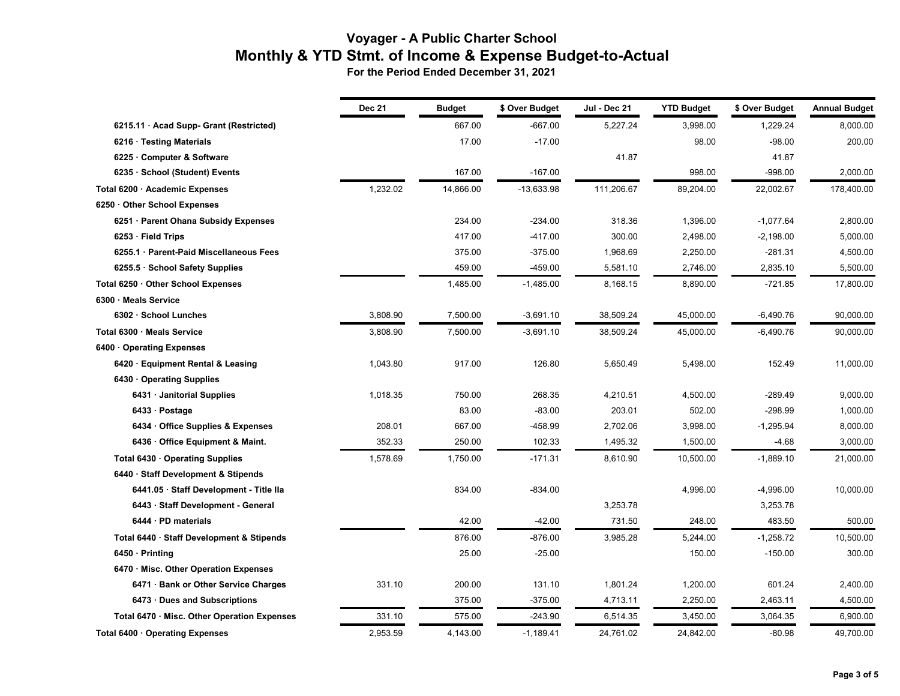|                                             | <b>Dec 21</b> | <b>Budget</b> | \$ Over Budget | Jul - Dec 21 | <b>YTD Budget</b> | \$ Over Budget | <b>Annual Budget</b> |
|---------------------------------------------|---------------|---------------|----------------|--------------|-------------------|----------------|----------------------|
| 6215.11 · Acad Supp- Grant (Restricted)     |               | 667.00        | $-667.00$      | 5,227.24     | 3,998.00          | 1,229.24       | 8,000.00             |
| 6216 · Testing Materials                    |               | 17.00         | $-17.00$       |              | 98.00             | $-98.00$       | 200.00               |
| 6225 · Computer & Software                  |               |               |                | 41.87        |                   | 41.87          |                      |
| 6235 · School (Student) Events              |               | 167.00        | $-167.00$      |              | 998.00            | $-998.00$      | 2,000.00             |
| Total 6200 · Academic Expenses              | 1,232.02      | 14,866.00     | $-13,633.98$   | 111,206.67   | 89,204.00         | 22,002.67      | 178,400.00           |
| 6250 Other School Expenses                  |               |               |                |              |                   |                |                      |
| 6251 · Parent Ohana Subsidy Expenses        |               | 234.00        | $-234.00$      | 318.36       | 1,396.00          | $-1,077.64$    | 2,800.00             |
| $6253 \cdot$ Field Trips                    |               | 417.00        | $-417.00$      | 300.00       | 2,498.00          | $-2,198.00$    | 5,000.00             |
| 6255.1 · Parent-Paid Miscellaneous Fees     |               | 375.00        | $-375.00$      | 1,968.69     | 2,250.00          | $-281.31$      | 4,500.00             |
| 6255.5 · School Safety Supplies             |               | 459.00        | -459.00        | 5,581.10     | 2,746.00          | 2,835.10       | 5,500.00             |
| Total 6250 · Other School Expenses          |               | 1,485.00      | $-1,485.00$    | 8,168.15     | 8,890.00          | $-721.85$      | 17,800.00            |
| 6300 Meals Service                          |               |               |                |              |                   |                |                      |
| 6302 · School Lunches                       | 3,808.90      | 7,500.00      | $-3,691.10$    | 38,509.24    | 45,000.00         | $-6,490.76$    | 90,000.00            |
| Total 6300 · Meals Service                  | 3,808.90      | 7,500.00      | $-3,691.10$    | 38,509.24    | 45,000.00         | $-6,490.76$    | 90,000.00            |
| 6400 Operating Expenses                     |               |               |                |              |                   |                |                      |
| 6420 · Equipment Rental & Leasing           | 1,043.80      | 917.00        | 126.80         | 5,650.49     | 5,498.00          | 152.49         | 11,000.00            |
| 6430 Operating Supplies                     |               |               |                |              |                   |                |                      |
| 6431 · Janitorial Supplies                  | 1,018.35      | 750.00        | 268.35         | 4,210.51     | 4,500.00          | $-289.49$      | 9,000.00             |
| 6433 · Postage                              |               | 83.00         | $-83.00$       | 203.01       | 502.00            | $-298.99$      | 1,000.00             |
| 6434 · Office Supplies & Expenses           | 208.01        | 667.00        | -458.99        | 2,702.06     | 3,998.00          | $-1,295.94$    | 8,000.00             |
| 6436 · Office Equipment & Maint.            | 352.33        | 250.00        | 102.33         | 1,495.32     | 1,500.00          | -4.68          | 3,000.00             |
| Total $6430 \cdot$ Operating Supplies       | 1,578.69      | 1,750.00      | $-171.31$      | 8,610.90     | 10,500.00         | $-1,889.10$    | 21,000.00            |
| 6440 · Staff Development & Stipends         |               |               |                |              |                   |                |                      |
| 6441.05 · Staff Development - Title Ila     |               | 834.00        | $-834.00$      |              | 4,996.00          | $-4,996.00$    | 10,000.00            |
| 6443 · Staff Development - General          |               |               |                | 3,253.78     |                   | 3,253.78       |                      |
| 6444 · PD materials                         |               | 42.00         | $-42.00$       | 731.50       | 248.00            | 483.50         | 500.00               |
| Total 6440 · Staff Development & Stipends   |               | 876.00        | $-876.00$      | 3,985.28     | 5,244.00          | $-1,258.72$    | 10,500.00            |
| $6450 \cdot \text{Printing}$                |               | 25.00         | $-25.00$       |              | 150.00            | $-150.00$      | 300.00               |
| 6470 Misc. Other Operation Expenses         |               |               |                |              |                   |                |                      |
| 6471 · Bank or Other Service Charges        | 331.10        | 200.00        | 131.10         | 1,801.24     | 1,200.00          | 601.24         | 2,400.00             |
| 6473 · Dues and Subscriptions               |               | 375.00        | $-375.00$      | 4,713.11     | 2,250.00          | 2,463.11       | 4,500.00             |
| Total 6470 · Misc. Other Operation Expenses | 331.10        | 575.00        | $-243.90$      | 6,514.35     | 3,450.00          | 3,064.35       | 6,900.00             |
| Total 6400 · Operating Expenses             | 2,953.59      | 4,143.00      | $-1,189.41$    | 24,761.02    | 24,842.00         | $-80.98$       | 49,700.00            |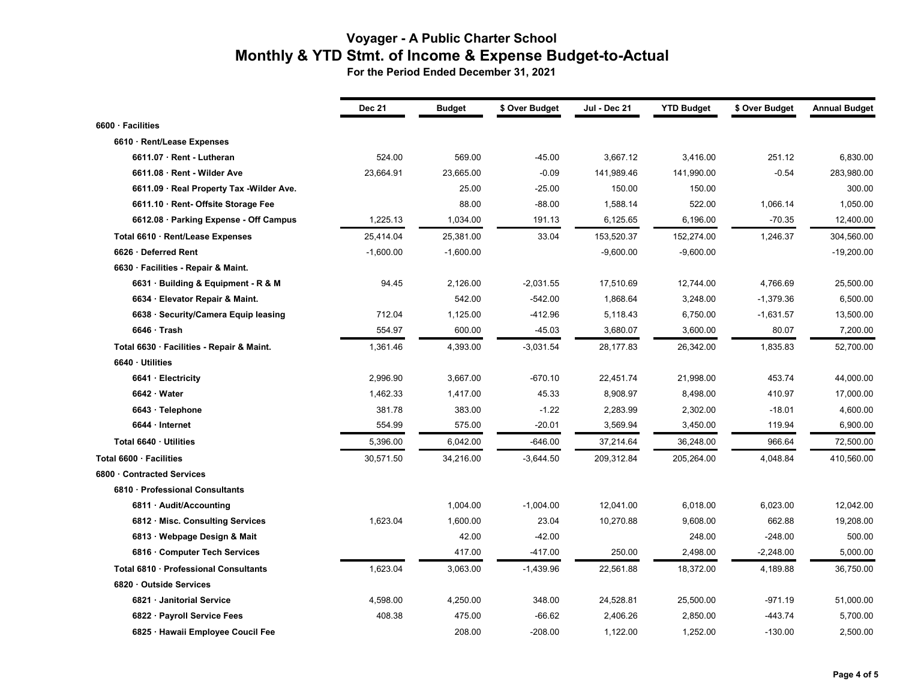|                                           | <b>Dec 21</b> | <b>Budget</b> | \$ Over Budget | <b>Jul - Dec 21</b> | <b>YTD Budget</b> | \$ Over Budget | <b>Annual Budget</b> |
|-------------------------------------------|---------------|---------------|----------------|---------------------|-------------------|----------------|----------------------|
| 6600 · Facilities                         |               |               |                |                     |                   |                |                      |
| 6610 · Rent/Lease Expenses                |               |               |                |                     |                   |                |                      |
| 6611.07 · Rent - Lutheran                 | 524.00        | 569.00        | $-45.00$       | 3,667.12            | 3,416.00          | 251.12         | 6,830.00             |
| 6611.08 · Rent - Wilder Ave               | 23,664.91     | 23,665.00     | $-0.09$        | 141,989.46          | 141,990.00        | $-0.54$        | 283,980.00           |
| 6611.09 · Real Property Tax -Wilder Ave.  |               | 25.00         | $-25.00$       | 150.00              | 150.00            |                | 300.00               |
| 6611.10 · Rent- Offsite Storage Fee       |               | 88.00         | $-88.00$       | 1,588.14            | 522.00            | 1,066.14       | 1,050.00             |
| 6612.08 · Parking Expense - Off Campus    | 1,225.13      | 1,034.00      | 191.13         | 6,125.65            | 6,196.00          | $-70.35$       | 12,400.00            |
| Total 6610 · Rent/Lease Expenses          | 25,414.04     | 25,381.00     | 33.04          | 153,520.37          | 152,274.00        | 1,246.37       | 304,560.00           |
| 6626 · Deferred Rent                      | $-1,600.00$   | $-1,600.00$   |                | $-9,600.00$         | $-9,600.00$       |                | $-19,200.00$         |
| 6630 · Facilities - Repair & Maint.       |               |               |                |                     |                   |                |                      |
| 6631 · Building & Equipment - R & M       | 94.45         | 2,126.00      | $-2,031.55$    | 17,510.69           | 12,744.00         | 4,766.69       | 25,500.00            |
| 6634 · Elevator Repair & Maint.           |               | 542.00        | $-542.00$      | 1,868.64            | 3,248.00          | $-1,379.36$    | 6,500.00             |
| 6638 · Security/Camera Equip leasing      | 712.04        | 1,125.00      | $-412.96$      | 5,118.43            | 6,750.00          | $-1,631.57$    | 13,500.00            |
| 6646 · Trash                              | 554.97        | 600.00        | -45.03         | 3,680.07            | 3,600.00          | 80.07          | 7,200.00             |
| Total 6630 · Facilities - Repair & Maint. | 1,361.46      | 4,393.00      | $-3,031.54$    | 28,177.83           | 26,342.00         | 1,835.83       | 52,700.00            |
| 6640 · Utilities                          |               |               |                |                     |                   |                |                      |
| 6641 · Electricity                        | 2,996.90      | 3,667.00      | $-670.10$      | 22,451.74           | 21,998.00         | 453.74         | 44,000.00            |
| 6642 · Water                              | 1,462.33      | 1,417.00      | 45.33          | 8,908.97            | 8,498.00          | 410.97         | 17,000.00            |
| 6643 · Telephone                          | 381.78        | 383.00        | $-1.22$        | 2,283.99            | 2,302.00          | $-18.01$       | 4,600.00             |
| 6644 · Internet                           | 554.99        | 575.00        | $-20.01$       | 3,569.94            | 3,450.00          | 119.94         | 6,900.00             |
| Total 6640 · Utilities                    | 5,396.00      | 6,042.00      | $-646.00$      | 37,214.64           | 36,248.00         | 966.64         | 72,500.00            |
| Total 6600 · Facilities                   | 30,571.50     | 34,216.00     | $-3,644.50$    | 209,312.84          | 205,264.00        | 4,048.84       | 410,560.00           |
| 6800 · Contracted Services                |               |               |                |                     |                   |                |                      |
| 6810 · Professional Consultants           |               |               |                |                     |                   |                |                      |
| 6811 · Audit/Accounting                   |               | 1,004.00      | $-1,004.00$    | 12,041.00           | 6,018.00          | 6,023.00       | 12,042.00            |
| 6812 · Misc. Consulting Services          | 1,623.04      | 1,600.00      | 23.04          | 10,270.88           | 9,608.00          | 662.88         | 19,208.00            |
| 6813 · Webpage Design & Mait              |               | 42.00         | $-42.00$       |                     | 248.00            | $-248.00$      | 500.00               |
| 6816 · Computer Tech Services             |               | 417.00        | $-417.00$      | 250.00              | 2,498.00          | $-2,248.00$    | 5,000.00             |
| Total 6810 · Professional Consultants     | 1,623.04      | 3,063.00      | $-1,439.96$    | 22,561.88           | 18,372.00         | 4,189.88       | 36,750.00            |
| 6820 · Outside Services                   |               |               |                |                     |                   |                |                      |
| 6821 · Janitorial Service                 | 4,598.00      | 4,250.00      | 348.00         | 24,528.81           | 25,500.00         | $-971.19$      | 51,000.00            |
| 6822 · Payroll Service Fees               | 408.38        | 475.00        | $-66.62$       | 2,406.26            | 2,850.00          | $-443.74$      | 5,700.00             |
| 6825 · Hawaii Employee Coucil Fee         |               | 208.00        | $-208.00$      | 1,122.00            | 1,252.00          | $-130.00$      | 2,500.00             |